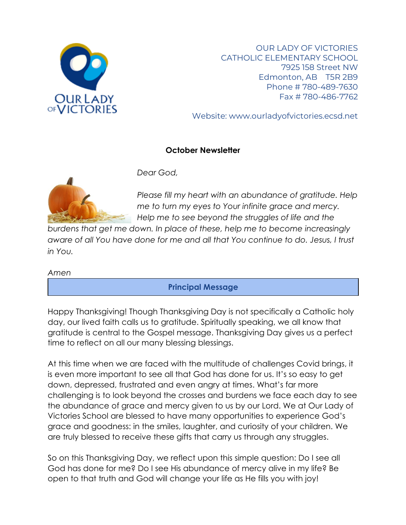

OUR LADY OF VICTORIES CATHOLIC ELEMENTARY SCHOOL 7925 158 Street NW Edmonton, AB T5R 2B9 Phone # 780-489-7630 Fax # 780-486-7762

Website: www.ourladyofvictories.ecsd.net

#### **October Newsletter**



*Dear God,*

*Please fill my heart with an abundance of gratitude. Help me to turn my eyes to Your infinite grace and mercy. Help me to see beyond the struggles of life and the* 

*burdens that get me down. In place of these, help me to become increasingly aware of all You have done for me and all that You continue to do. Jesus, I trust in You.*

*Amen*

## **Principal Message**

Happy Thanksgiving! Though Thanksgiving Day is not specifically a Catholic holy day, our lived faith calls us to gratitude. Spiritually speaking, we all know that gratitude is central to the Gospel message. Thanksgiving Day gives us a perfect time to reflect on all our many blessing blessings.

At this time when we are faced with the multitude of challenges Covid brings, it is even more important to see all that God has done for us. It's so easy to get down, depressed, frustrated and even angry at times. What's far more challenging is to look beyond the crosses and burdens we face each day to see the abundance of grace and mercy given to us by our Lord. We at Our Lady of Victories School are blessed to have many opportunities to experience God's grace and goodness: in the smiles, laughter, and curiosity of your children. We are truly blessed to receive these gifts that carry us through any struggles.

So on this Thanksgiving Day, we reflect upon this simple question: Do I see all God has done for me? Do I see His abundance of mercy alive in my life? Be open to that truth and God will change your life as He fills you with joy!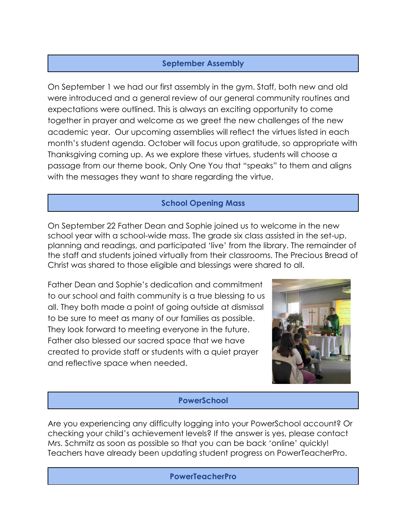# **September Assembly**

On September 1 we had our first assembly in the gym. Staff, both new and old were introduced and a general review of our general community routines and expectations were outlined. This is always an exciting opportunity to come together in prayer and welcome as we greet the new challenges of the new academic year. Our upcoming assemblies will reflect the virtues listed in each month's student agenda. October will focus upon gratitude, so appropriate with Thanksgiving coming up. As we explore these virtues, students will choose a passage from our theme book, Only One You that "speaks" to them and aligns with the messages they want to share regarding the virtue.

## **School Opening Mass**

On September 22 Father Dean and Sophie joined us to welcome in the new school year with a school-wide mass. The grade six class assisted in the set-up, planning and readings, and participated 'live' from the library. The remainder of the staff and students joined virtually from their classrooms. The Precious Bread of Christ was shared to those eligible and blessings were shared to all.

Father Dean and Sophie's dedication and commitment to our school and faith community is a true blessing to us all. They both made a point of going outside at dismissal to be sure to meet as many of our families as possible. They look forward to meeting everyone in the future. Father also blessed our sacred space that we have created to provide staff or students with a quiet prayer and reflective space when needed.



## **PowerSchool**

Are you experiencing any difficulty logging into your PowerSchool account? Or checking your child's achievement levels? If the answer is yes, please contact Mrs. Schmitz as soon as possible so that you can be back 'online' quickly! Teachers have already been updating student progress on PowerTeacherPro.

#### **PowerTeacherPro**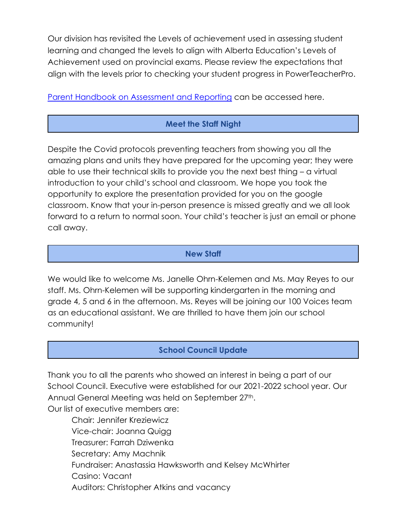Our division has revisited the Levels of achievement used in assessing student learning and changed the levels to align with Alberta Education's Levels of Achievement used on provincial exams. Please review the expectations that align with the levels prior to checking your student progress in PowerTeacherPro.

[Parent Handbook on Assessment and Reporting](https://www.ecsd.net/page/17855/assessment) can be accessed here.

# **Meet the Staff Night**

Despite the Covid protocols preventing teachers from showing you all the amazing plans and units they have prepared for the upcoming year; they were able to use their technical skills to provide you the next best thing – a virtual introduction to your child's school and classroom. We hope you took the opportunity to explore the presentation provided for you on the google classroom. Know that your in-person presence is missed greatly and we all look forward to a return to normal soon. Your child's teacher is just an email or phone call away.

## **New Staff**

We would like to welcome Ms. Janelle Ohrn-Kelemen and Ms. May Reyes to our staff. Ms. Ohrn-Kelemen will be supporting kindergarten in the morning and grade 4, 5 and 6 in the afternoon. Ms. Reyes will be joining our 100 Voices team as an educational assistant. We are thrilled to have them join our school community!

# **School Council Update**

Thank you to all the parents who showed an interest in being a part of our School Council. Executive were established for our 2021-2022 school year. Our Annual General Meeting was held on September 27<sup>th</sup>.

Our list of executive members are:

Chair: Jennifer Kreziewicz Vice-chair: Joanna Quigg Treasurer: Farrah Dziwenka Secretary: Amy Machnik Fundraiser: Anastassia Hawksworth and Kelsey McWhirter Casino: Vacant Auditors: Christopher Atkins and vacancy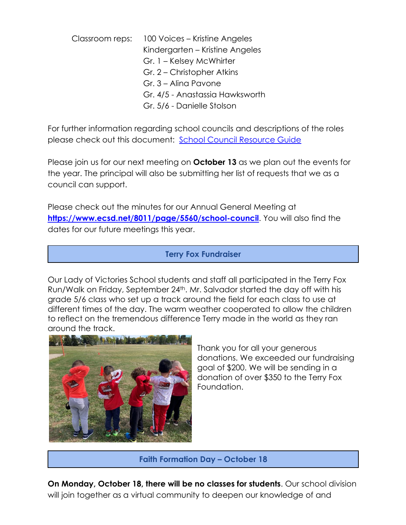Classroom reps: 100 Voices – Kristine Angeles Kindergarten – Kristine Angeles Gr. 1 – Kelsey McWhirter Gr. 2 – Christopher Atkins Gr. 3 – Alina Pavone Gr. 4/5 - Anastassia Hawksworth Gr. 5/6 - Danielle Stolson

For further information regarding school councils and descriptions of the roles please check out this document: [School Council Resource Guide](https://www.albertaschoolcouncils.ca/public/download/files/181387)

Please join us for our next meeting on **October 13** as we plan out the events for the year. The principal will also be submitting her list of requests that we as a council can support.

Please check out the minutes for our Annual General Meeting at **<https://www.ecsd.net/8011/page/5560/school-council>**. You will also find the dates for our future meetings this year.

## **Terry Fox Fundraiser**

Our Lady of Victories School students and staff all participated in the Terry Fox Run/Walk on Friday, September 24th. Mr. Salvador started the day off with his grade 5/6 class who set up a track around the field for each class to use at different times of the day. The warm weather cooperated to allow the children to reflect on the tremendous difference Terry made in the world as they ran around the track.



Thank you for all your generous donations. We exceeded our fundraising goal of \$200. We will be sending in a donation of over \$350 to the Terry Fox Foundation.

#### **Faith Formation Day – October 18**

**On Monday, October 18, there will be no classes for students**. Our school division will join together as a virtual community to deepen our knowledge of and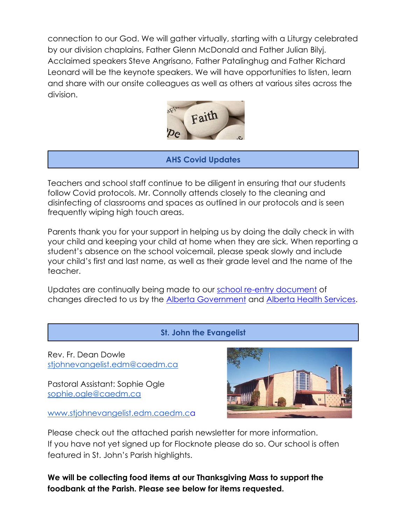connection to our God. We will gather virtually, starting with a Liturgy celebrated by our division chaplains, Father Glenn McDonald and Father Julian Bilyj. Acclaimed speakers Steve Angrisano, Father Patalinghug and Father Richard Leonard will be the keynote speakers. We will have opportunities to listen, learn and share with our onsite colleagues as well as others at various sites across the division.



# **AHS Covid Updates**

Teachers and school staff continue to be diligent in ensuring that our students follow Covid protocols. Mr. Connolly attends closely to the cleaning and disinfecting of classrooms and spaces as outlined in our protocols and is seen frequently wiping high touch areas.

Parents thank you for your support in helping us by doing the daily check in with your child and keeping your child at home when they are sick. When reporting a student's absence on the school voicemail, please speak slowly and include your child's first and last name, as well as their grade level and the name of the teacher.

Updates are continually being made to our [school re-entry document](https://www.ecsd.net/page/7013/back-to-school-plan-for-the-2021-2022-school-year) of changes directed to us by the [Alberta Government](https://open.alberta.ca/dataset/13d2242a-d310-419e-960c-6fe273d0f7b3/resource/e5305366-17e9-4507-9487-8aa5afcd72f2/download/edc-school-year-plan-2021-2022.pdf) and [Alberta Health Services.](https://open.alberta.ca/dataset/0721a26b-c4ce-4345-971f-4ff9da32052c/resource/328bf258-bb1a-459b-b705-16b525390240/download/health-guidance-respiratory-illness-prevention-and-management-in-schools.pdf)

**St. John the Evangelist**

Rev. Fr. Dean Dowle [stjohnevangelist.edm@caedm.ca](mailto:stjohnevangelist.edm@caedm.ca)

Pastoral Assistant: Sophie Ogle [sophie.ogle@caedm.ca](mailto:sophie.ogle@caedm.ca)

[www.stjohnevangelist.edm.caedm.ca](http://www.stjohnevangelist.edm.caedm.ca/)



Please check out the attached parish newsletter for more information. If you have not yet signed up for Flocknote please do so. Our school is often featured in St. John's Parish highlights.

**We will be collecting food items at our Thanksgiving Mass to support the foodbank at the Parish. Please see below for items requested.**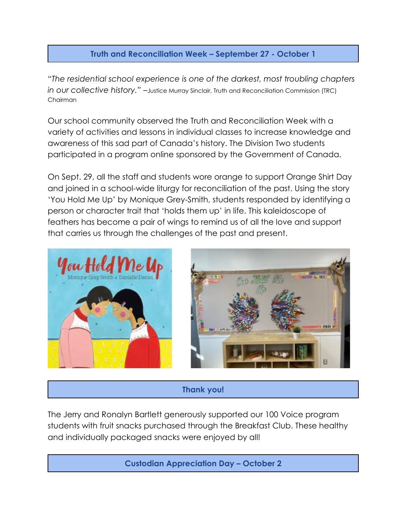# **Truth and Reconciliation Week – September 27 - October 1**

"*The residential school experience is one of the darkest, most troubling chapters in our collective history."* –Justice Murray Sinclair, Truth and Reconciliation Commission (TRC) Chairman

Our school community observed the Truth and Reconciliation Week with a variety of activities and lessons in individual classes to increase knowledge and awareness of this sad part of Canada's history. The Division Two students participated in a program online sponsored by the Government of Canada.

On Sept. 29, all the staff and students wore orange to support Orange Shirt Day and joined in a school-wide liturgy for reconciliation of the past. Using the story 'You Hold Me Up' by Monique Grey-Smith, students responded by identifying a person or character trait that 'holds them up' in life. This kaleidoscope of feathers has become a pair of wings to remind us of all the love and support that carries us through the challenges of the past and present.



#### **Thank you!**

The Jerry and Ronalyn Bartlett generously supported our 100 Voice program students with fruit snacks purchased through the Breakfast Club. These healthy and individually packaged snacks were enjoyed by all!

**Custodian Appreciation Day – October 2**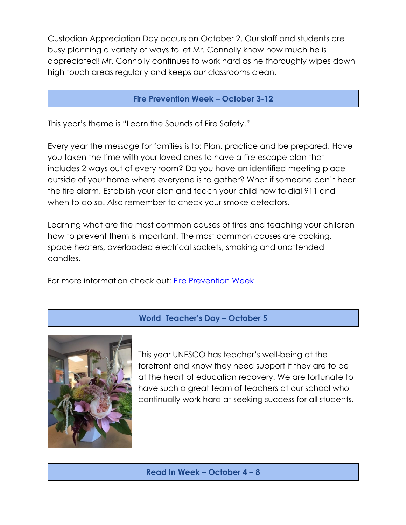Custodian Appreciation Day occurs on October 2. Our staff and students are busy planning a variety of ways to let Mr. Connolly know how much he is appreciated! Mr. Connolly continues to work hard as he thoroughly wipes down high touch areas regularly and keeps our classrooms clean.

#### **Fire Prevention Week – October 3-12**

This year's theme is "Learn the Sounds of Fire Safety."

Every year the message for families is to: Plan, practice and be prepared. Have you taken the time with your loved ones to have a fire escape plan that includes 2 ways out of every room? Do you have an identified meeting place outside of your home where everyone is to gather? What if someone can't hear the fire alarm. Establish your plan and teach your child how to dial 911 and when to do so. Also remember to check your smoke detectors.

Learning what are the most common causes of fires and teaching your children how to prevent them is important. The most common causes are cooking, space heaters, overloaded electrical sockets, smoking and unattended candles.

For more information check out: [Fire Prevention Week](https://www.nfpa.org/Events/Events/Fire-Prevention-Week/About)

#### **World Teacher's Day – October 5**



This year UNESCO has teacher's well-being at the forefront and know they need support if they are to be at the heart of education recovery. We are fortunate to have such a great team of teachers at our school who continually work hard at seeking success for all students.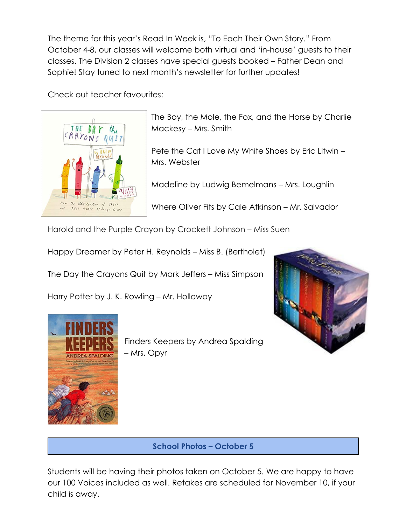The theme for this year's Read In Week is, "To Each Their Own Story." From October 4-8, our classes will welcome both virtual and 'in-house' guests to their classes. The Division 2 classes have special guests booked – Father Dean and Sophie! Stay tuned to next month's newsletter for further updates!

Check out teacher favourites:



The Boy, the Mole, the Fox, and the Horse by Charlie Mackesy – Mrs. Smith

Pete the Cat I Love My White Shoes by Eric Litwin – Mrs. Webster

Madeline by Ludwig Bemelmans – Mrs. Loughlin

Where Oliver Fits by Cale Atkinson – Mr. Salvador

Harold and the Purple Crayon by Crockett Johnson – Miss Suen

Happy Dreamer by Peter H. Reynolds – Miss B. (Bertholet)

The Day the Crayons Quit by Mark Jeffers – Miss Simpson

Harry Potter by J. K. Rowling – Mr. Holloway





Finders Keepers by Andrea Spalding – Mrs. Opyr

## **School Photos – October 5**

Students will be having their photos taken on October 5. We are happy to have our 100 Voices included as well. Retakes are scheduled for November 10, if your child is away.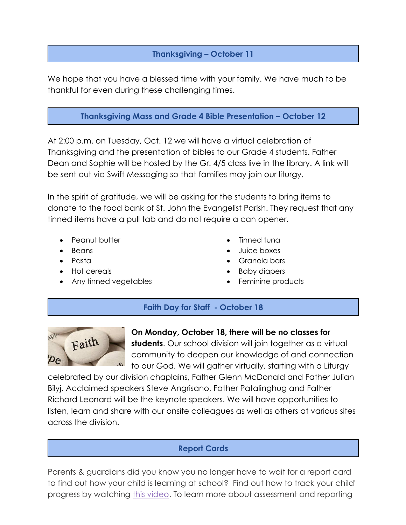# **Thanksgiving – October 11**

We hope that you have a blessed time with your family. We have much to be thankful for even during these challenging times.

# **Thanksgiving Mass and Grade 4 Bible Presentation – October 12**

At 2:00 p.m. on Tuesday, Oct. 12 we will have a virtual celebration of Thanksgiving and the presentation of bibles to our Grade 4 students. Father Dean and Sophie will be hosted by the Gr. 4/5 class live in the library. A link will be sent out via Swift Messaging so that families may join our liturgy.

In the spirit of gratitude, we will be asking for the students to bring items to donate to the food bank of St. John the Evangelist Parish. They request that any tinned items have a pull tab and do not require a can opener.

- Peanut butter
- Beans
- Pasta
- Hot cereals
- Any tinned vegetables
- Tinned tuna
- Juice boxes
- Granola bars
- Baby diapers
- Feminine products

## **Faith Day for Staff - October 18**



# **On Monday, October 18, there will be no classes for**

**students**. Our school division will join together as a virtual community to deepen our knowledge of and connection to our God. We will gather virtually, starting with a Liturgy

celebrated by our division chaplains, Father Glenn McDonald and Father Julian Bilyj. Acclaimed speakers Steve Angrisano, Father Patalinghug and Father Richard Leonard will be the keynote speakers. We will have opportunities to listen, learn and share with our onsite colleagues as well as others at various sites across the division.

## **Report Cards**

Parents & guardians did you know you no longer have to wait for a report card to find out how your child is learning at school? Find out how to track your child' progress by watching [this video.](https://can01.safelinks.protection.outlook.com/?url=https://youtu.be/3PH3N0tiVuw&data=04%7c01%7cBahaa.Moussallem%40ecsd.net%7c153cb5e9c987458db6fd08d9894ee6cc%7cb18d9f6f0743460da19b0b3297eeeb89%7c0%7c0%7c637691794228621098%7cUnknown%7cTWFpbGZsb3d8eyJWIjoiMC4wLjAwMDAiLCJQIjoiV2luMzIiLCJBTiI6Ik1haWwiLCJXVCI6Mn0%3D%7c1000&sdata=vo7f0GcgUKIFiN8qbnJXUThf1LuYKcK1RmqquBba%2BZQ%3D&reserved=0) To learn more about assessment and reporting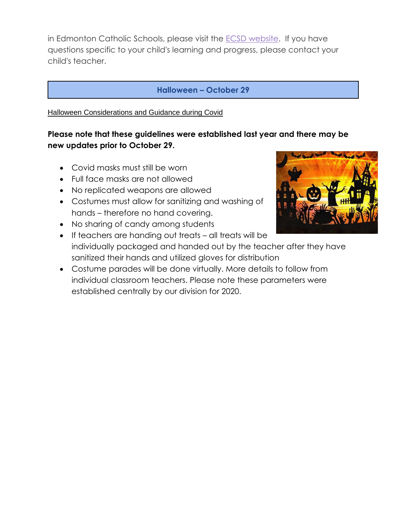in Edmonton Catholic Schools, please visit the **ECSD** website. If you have questions specific to your child's learning and progress, please contact your child's teacher.

#### **Halloween – October 29**

Halloween Considerations and Guidance during Covid

# **Please note that these guidelines were established last year and there may be new updates prior to October 29.**

- Covid masks must still be worn
- Full face masks are not allowed
- No replicated weapons are allowed
- Costumes must allow for sanitizing and washing of hands – therefore no hand covering.
- No sharing of candy among students
- If teachers are handing out treats all treats will be individually packaged and handed out by the teacher after they have sanitized their hands and utilized gloves for distribution
- Costume parades will be done virtually. More details to follow from individual classroom teachers. Please note these parameters were established centrally by our division for 2020.